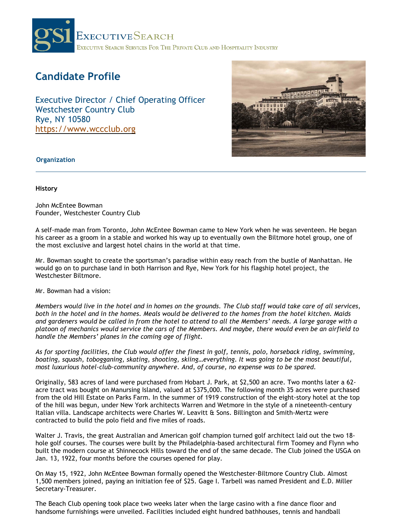

# **Candidate Profile**

Executive Director / Chief Operating Officer Westchester Country Club Rye, NY 10580 [https://www.wccclub.org](https://www.wccclub.org/)



 **Organization**

#### **History**

John McEntee Bowman Founder, Westchester Country Club

A self-made man from Toronto, John McEntee Bowman came to New York when he was seventeen. He began his career as a groom in a stable and worked his way up to eventually own the Biltmore hotel group, one of the most exclusive and largest hotel chains in the world at that time.

Mr. Bowman sought to create the sportsman's paradise within easy reach from the bustle of Manhattan. He would go on to purchase land in both Harrison and Rye, New York for his flagship hotel project, the Westchester Biltmore.

Mr. Bowman had a vision:

*Members would live in the hotel and in homes on the grounds. The Club staff would take care of all services, both in the hotel and in the homes. Meals would be delivered to the homes from the hotel kitchen. Maids and gardeners would be called in from the hotel to attend to all the Members' needs. A large garage with a platoon of mechanics would service the cars of the Members. And maybe, there would even be an airfield to handle the Members' planes in the coming age of flight.*

*As for sporting facilities, the Club would offer the finest in golf, tennis, polo, horseback riding, swimming, boating, squash, tobogganing, skating, shooting, skiing…everything. It was going to be the most beautiful, most luxurious hotel-club-community anywhere. And, of course, no expense was to be spared.*

Originally, 583 acres of land were purchased from Hobart J. Park, at \$2,500 an acre. Two months later a 62 acre tract was bought on Manursing Island, valued at \$375,000. The following month 35 acres were purchased from the old Hill Estate on Parks Farm. In the summer of 1919 construction of the eight-story hotel at the top of the hill was begun, under New York architects Warren and Wetmore in the style of a nineteenth-century Italian villa. Landscape architects were Charles W. Leavitt & Sons. Billington and Smith-Mertz were contracted to build the polo field and five miles of roads.

Walter J. Travis, the great Australian and American golf champion turned golf architect laid out the two 18 hole golf courses. The courses were built by the Philadelphia-based architectural firm Toomey and Flynn who built the modern course at Shinnecock Hills toward the end of the same decade. The Club joined the USGA on Jan. 13, 1922, four months before the courses opened for play.

On May 15, 1922, John McEntee Bowman formally opened the Westchester-Biltmore Country Club. Almost 1,500 members joined, paying an initiation fee of \$25. Gage I. Tarbell was named President and E.D. Miller Secretary-Treasurer.

The Beach Club opening took place two weeks later when the large casino with a fine dance floor and handsome furnishings were unveiled. Facilities included eight hundred bathhouses, tennis and handball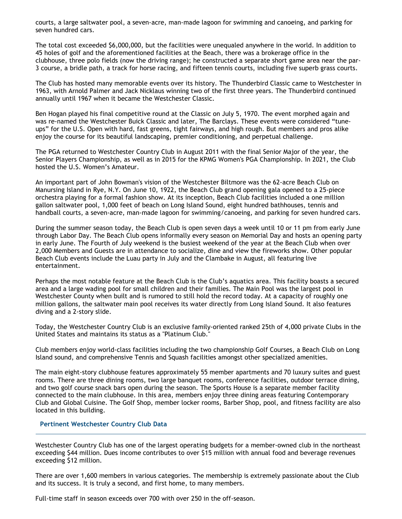courts, a large saltwater pool, a seven-acre, man-made lagoon for swimming and canoeing, and parking for seven hundred cars.

The total cost exceeded \$6,000,000, but the facilities were unequaled anywhere in the world. In addition to 45 holes of golf and the aforementioned facilities at the Beach, there was a brokerage office in the clubhouse, three polo fields (now the driving range); he constructed a separate short game area near the par-3 course, a bridle path, a track for horse racing, and fifteen tennis courts, including five superb grass courts.

The Club has hosted many memorable events over its history. The Thunderbird Classic came to Westchester in 1963, with Arnold Palmer and Jack Nicklaus winning two of the first three years. The Thunderbird continued annually until 1967 when it became the Westchester Classic.

Ben Hogan played his final competitive round at the Classic on July 5, 1970. The event morphed again and was re-named the Westchester Buick Classic and later, The Barclays. These events were considered "tuneups" for the U.S. Open with hard, fast greens, tight fairways, and high rough. But members and pros alike enjoy the course for its beautiful landscaping, premier conditioning, and perpetual challenge.

The PGA returned to Westchester Country Club in August 2011 with the final Senior Major of the year, the Senior Players Championship, as well as in 2015 for the KPMG Women's PGA Championship. In 2021, the Club hosted the U.S. Women's Amateur.

An important part of John Bowman's vision of the Westchester Biltmore was the 62-acre Beach Club on Manursing Island in Rye, N.Y. On June 10, 1922, the Beach Club grand opening gala opened to a 25-piece orchestra playing for a formal fashion show. At its inception, Beach Club facilities included a one million gallon saltwater pool, 1,000 feet of beach on Long Island Sound, eight hundred bathhouses, tennis and handball courts, a seven-acre, man-made lagoon for swimming/canoeing, and parking for seven hundred cars.

During the summer season today, the Beach Club is open seven days a week until 10 or 11 pm from early June through Labor Day. The Beach Club opens informally every season on Memorial Day and hosts an opening party in early June. The Fourth of July weekend is the busiest weekend of the year at the Beach Club when over 2,000 Members and Guests are in attendance to socialize, dine and view the fireworks show. Other popular Beach Club events include the Luau party in July and the Clambake in August, all featuring live entertainment.

Perhaps the most notable feature at the Beach Club is the Club's aquatics area. This facility boasts a secured area and a large wading pool for small children and their families. The Main Pool was the largest pool in Westchester County when built and is rumored to still hold the record today. At a capacity of roughly one million gallons, the saltwater main pool receives its water directly from Long Island Sound. It also features diving and a 2-story slide.

Today, the Westchester Country Club is an exclusive family-oriented ranked 25th of 4,000 private Clubs in the United States and maintains its status as a "Platinum Club."

Club members enjoy world-class facilities including the two championship Golf Courses, a Beach Club on Long Island sound, and comprehensive Tennis and Squash facilities amongst other specialized amenities.

The main eight-story clubhouse features approximately 55 member apartments and 70 luxury suites and guest rooms. There are three dining rooms, two large banquet rooms, conference facilities, outdoor terrace dining, and two golf course snack bars open during the season. The Sports House is a separate member facility connected to the main clubhouse. In this area, members enjoy three dining areas featuring Contemporary Club and Global Cuisine. The Golf Shop, member locker rooms, Barber Shop, pool, and fitness facility are also located in this building.

#### **Pertinent Westchester Country Club Data**

Westchester Country Club has one of the largest operating budgets for a member-owned club in the northeast exceeding \$44 million. Dues income contributes to over \$15 million with annual food and beverage revenues exceeding \$12 million.

There are over 1,600 members in various categories. The membership is extremely passionate about the Club and its success. It is truly a second, and first home, to many members.

Full-time staff in season exceeds over 700 with over 250 in the off-season.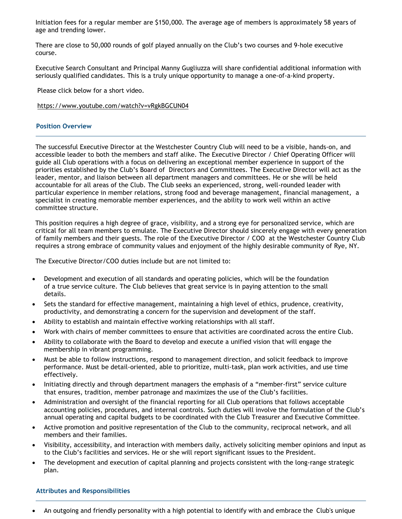Initiation fees for a regular member are \$150,000. The average age of members is approximately 58 years of age and trending lower.

There are close to 50,000 rounds of golf played annually on the Club's two courses and 9-hole executive course.

Executive Search Consultant and Principal Manny Gugliuzza will share confidential additional information with seriously qualified candidates. This is a truly unique opportunity to manage a one-of-a-kind property.

Please click below for a short video.

<https://www.youtube.com/watch?v=vRgkBGCUN04>

#### **Position Overview**

The successful Executive Director at the Westchester Country Club will need to be a visible, hands-on, and accessible leader to both the members and staff alike. The Executive Director / Chief Operating Officer will guide all Club operations with a focus on delivering an exceptional member experience in support of the priorities established by the Club's Board of Directors and Committees. The Executive Director will act as the leader, mentor, and liaison between all department managers and committees. He or she will be held accountable for all areas of the Club. The Club seeks an experienced, strong, well-rounded leader with particular experience in member relations, strong food and beverage management, financial management, a specialist in creating memorable member experiences, and the ability to work well within an active committee structure.

This position requires a high degree of grace, visibility, and a strong eye for personalized service, which are critical for all team members to emulate. The Executive Director should sincerely engage with every generation of family members and their guests. The role of the Executive Director / COO at the Westchester Country Club requires a strong embrace of community values and enjoyment of the highly desirable community of Rye, NY.

The Executive Director/COO duties include but are not limited to:

- Development and execution of all standards and operating policies, which will be the foundation of a true service culture. The Club believes that great service is in paying attention to the small details.
- Sets the standard for effective management, maintaining a high level of ethics, prudence, creativity, productivity, and demonstrating a concern for the supervision and development of the staff.
- Ability to establish and maintain effective working relationships with all staff.
- Work with chairs of member committees to ensure that activities are coordinated across the entire Club.
- Ability to collaborate with the Board to develop and execute a unified vision that will engage the membership in vibrant programming.
- Must be able to follow instructions, respond to management direction, and solicit feedback to improve performance. Must be detail-oriented, able to prioritize, multi-task, plan work activities, and use time effectively.
- Initiating directly and through department managers the emphasis of a "member-first" service culture that ensures, tradition, member patronage and maximizes the use of the Club's facilities.
- Administration and oversight of the financial reporting for all Club operations that follows acceptable accounting policies, procedures, and internal controls. Such duties will involve the formulation of the Club's annual operating and capital budgets to be coordinated with the Club Treasurer and Executive Committee.
- Active promotion and positive representation of the Club to the community, reciprocal network, and all members and their families.
- Visibility, accessibility, and interaction with members daily, actively soliciting member opinions and input as to the Club's facilities and services. He or she will report significant issues to the President.
- The development and execution of capital planning and projects consistent with the long-range strategic plan.

#### **Attributes and Responsibilities**

• An outgoing and friendly personality with a high potential to identify with and embrace the Club's unique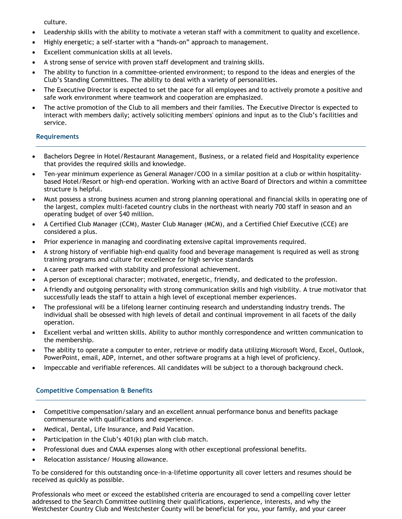culture.

- Leadership skills with the ability to motivate a veteran staff with a commitment to quality and excellence.
- Highly energetic; a self-starter with a "hands-on" approach to management.
- Excellent communication skills at all levels.
- A strong sense of service with proven staff development and training skills.
- The ability to function in a committee-oriented environment; to respond to the ideas and energies of the Club's Standing Committees. The ability to deal with a variety of personalities.
- The Executive Director is expected to set the pace for all employees and to actively promote a positive and safe work environment where teamwork and cooperation are emphasized.
- The active promotion of the Club to all members and their families. The Executive Director is expected to interact with members daily; actively soliciting members' opinions and input as to the Club's facilities and service.

## **Requirements**

- Bachelors Degree in Hotel/Restaurant Management, Business, or a related field and Hospitality experience that provides the required skills and knowledge.
- Ten-year minimum experience as General Manager/COO in a similar position at a club or within hospitalitybased Hotel/Resort or high-end operation. Working with an active Board of Directors and within a committee structure is helpful.
- Must possess a strong business acumen and strong planning operational and financial skills in operating one of the largest, complex multi-faceted country clubs in the northeast with nearly 700 staff in season and an operating budget of over \$40 million.
- A Certified Club Manager (CCM), Master Club Manager (MCM), and a Certified Chief Executive (CCE) are considered a plus.
- Prior experience in managing and coordinating extensive capital improvements required.
- A strong history of verifiable high-end quality food and beverage management is required as well as strong training programs and culture for excellence for high service standards
- A career path marked with stability and professional achievement.
- A person of exceptional character; motivated, energetic, friendly, and dedicated to the profession.
- A friendly and outgoing personality with strong communication skills and high visibility. A true motivator that successfully leads the staff to attain a high level of exceptional member experiences.
- The professional will be a lifelong learner continuing research and understanding industry trends. The individual shall be obsessed with high levels of detail and continual improvement in all facets of the daily operation.
- Excellent verbal and written skills. Ability to author monthly correspondence and written communication to the membership.
- The ability to operate a computer to enter, retrieve or modify data utilizing Microsoft Word, Excel, Outlook, PowerPoint, email, ADP, internet, and other software programs at a high level of proficiency.
- Impeccable and verifiable references. All candidates will be subject to a thorough background check.

### **Competitive Compensation & Benefits**

- Competitive compensation/salary and an excellent annual performance bonus and benefits package commensurate with qualifications and experience.
- Medical, Dental, Life Insurance, and Paid Vacation.
- Participation in the Club's 401(k) plan with club match.
- Professional dues and CMAA expenses along with other exceptional professional benefits.
- Relocation assistance/ Housing allowance.

To be considered for this outstanding once-in-a-lifetime opportunity all cover letters and resumes should be received as quickly as possible.

Professionals who meet or exceed the established criteria are encouraged to send a compelling cover letter addressed to the Search Committee outlining their qualifications, experience, interests, and why the Westchester Country Club and Westchester County will be beneficial for you, your family, and your career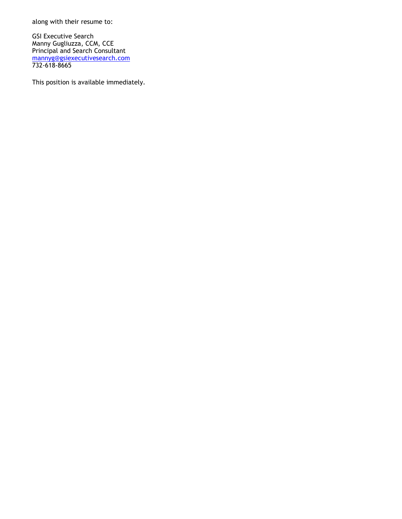along with their resume to:

GSI Executive Search Manny Gugliuzza, CCM, CCE Principal and Search Consultant [mannyg@gsiexecutivesearch.com](mailto:mannyg@gsiexecutivesearch.com) 732-618-8665

This position is available immediately.